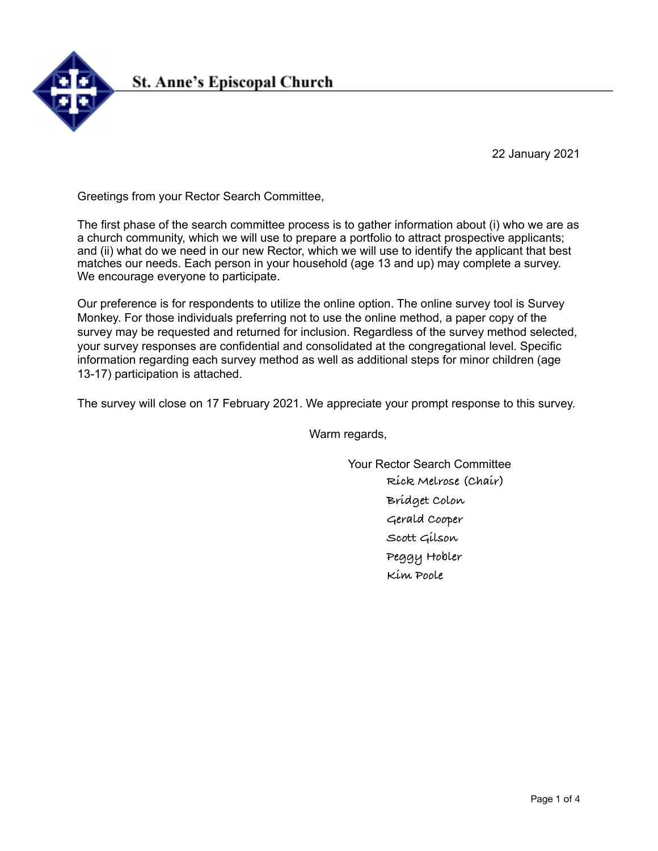

22 January 2021

Greetings from your Rector Search Committee,

The first phase of the search committee process is to gather information about (i) who we are as a church community, which we will use to prepare a portfolio to attract prospective applicants; and (ii) what do we need in our new Rector, which we will use to identify the applicant that best matches our needs. Each person in your household (age 13 and up) may complete a survey. We encourage everyone to participate.

Our preference is for respondents to utilize the online option. The online survey tool is Survey Monkey. For those individuals preferring not to use the online method, a paper copy of the survey may be requested and returned for inclusion. Regardless of the survey method selected, your survey responses are confidential and consolidated at the congregational level. Specific information regarding each survey method as well as additional steps for minor children (age 13-17) participation is attached.

The survey will close on 17 February 2021. We appreciate your prompt response to this survey.

Warm regards,

Your Rector Search Committee **Rick Melrose (Chair) Bridget Colon Gerald Cooper Scott Gilson Peggy Hobler Kim Poole**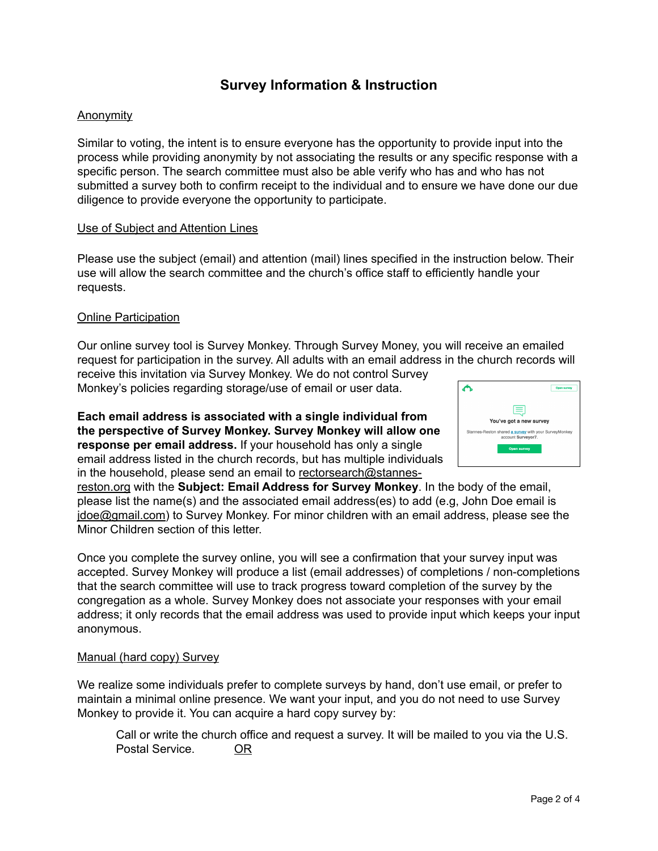# **Survey Information & Instruction**

# Anonymity

Similar to voting, the intent is to ensure everyone has the opportunity to provide input into the process while providing anonymity by not associating the results or any specific response with a specific person. The search committee must also be able verify who has and who has not submitted a survey both to confirm receipt to the individual and to ensure we have done our due diligence to provide everyone the opportunity to participate.

### Use of Subject and Attention Lines

Please use the subject (email) and attention (mail) lines specified in the instruction below. Their use will allow the search committee and the church's office staff to efficiently handle your requests.

### **Online Participation**

Our online survey tool is Survey Monkey. Through Survey Money, you will receive an emailed request for participation in the survey. All adults with an email address in the church records will

receive this invitation via Survey Monkey. We do not control Survey Monkey's policies regarding storage/use of email or user data.

**Each email address is associated with a single individual from the perspective of Survey Monkey. Survey Monkey will allow one response per email address.** If your household has only a single email address listed in the church records, but has multiple individuals in the household, please send an email to [rectorsearch@stannes-](mailto:rectorsearch@stannes-reston.org)



[reston.org](mailto:rectorsearch@stannes-reston.org) with the **Subject: Email Address for Survey Monkey**. In the body of the email, please list the name(s) and the associated email address(es) to add (e.g, John Doe email is [jdoe@gmail.com](mailto:jdoe@gmail.com)) to Survey Monkey. For minor children with an email address, please see the Minor Children section of this letter.

Once you complete the survey online, you will see a confirmation that your survey input was accepted. Survey Monkey will produce a list (email addresses) of completions / non-completions that the search committee will use to track progress toward completion of the survey by the congregation as a whole. Survey Monkey does not associate your responses with your email address; it only records that the email address was used to provide input which keeps your input anonymous.

#### Manual (hard copy) Survey

We realize some individuals prefer to complete surveys by hand, don't use email, or prefer to maintain a minimal online presence. We want your input, and you do not need to use Survey Monkey to provide it. You can acquire a hard copy survey by:

Call or write the church office and request a survey. It will be mailed to you via the U.S. Postal Service. OR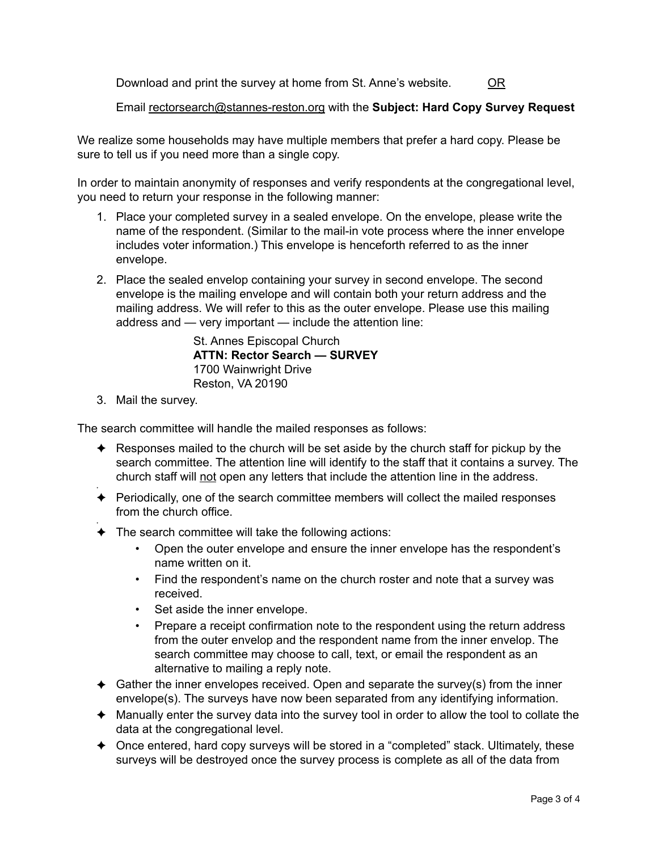Download and print the survey at home from St. Anne's website. OR

Email [rectorsearch@stannes-reston.org](mailto:rectorsearch@stannes-reston.org) with the **Subject: Hard Copy Survey Request**

We realize some households may have multiple members that prefer a hard copy. Please be sure to tell us if you need more than a single copy.

In order to maintain anonymity of responses and verify respondents at the congregational level, you need to return your response in the following manner:

- 1. Place your completed survey in a sealed envelope. On the envelope, please write the name of the respondent. (Similar to the mail-in vote process where the inner envelope includes voter information.) This envelope is henceforth referred to as the inner envelope.
- 2. Place the sealed envelop containing your survey in second envelope. The second envelope is the mailing envelope and will contain both your return address and the mailing address. We will refer to this as the outer envelope. Please use this mailing address and — very important — include the attention line:

St. Annes Episcopal Church **ATTN: Rector Search — SURVEY**  1700 Wainwright Drive Reston, VA 20190

3. Mail the survey.

✦

The search committee will handle the mailed responses as follows:

- $\triangle$  Responses mailed to the church will be set aside by the church staff for pickup by the search committee. The attention line will identify to the staff that it contains a survey. The church staff will not open any letters that include the attention line in the address.
- ✦ Periodically, one of the search committee members will collect the mailed responses from the church office.
- $\triangleleft$  The search committee will take the following actions:
	- Open the outer envelope and ensure the inner envelope has the respondent's name written on it.
	- Find the respondent's name on the church roster and note that a survey was received.
	- Set aside the inner envelope.
	- Prepare a receipt confirmation note to the respondent using the return address from the outer envelop and the respondent name from the inner envelop. The search committee may choose to call, text, or email the respondent as an alternative to mailing a reply note.
- ✦ Gather the inner envelopes received. Open and separate the survey(s) from the inner envelope(s). The surveys have now been separated from any identifying information.
- ✦ Manually enter the survey data into the survey tool in order to allow the tool to collate the data at the congregational level.
- ✦ Once entered, hard copy surveys will be stored in a "completed" stack. Ultimately, these surveys will be destroyed once the survey process is complete as all of the data from